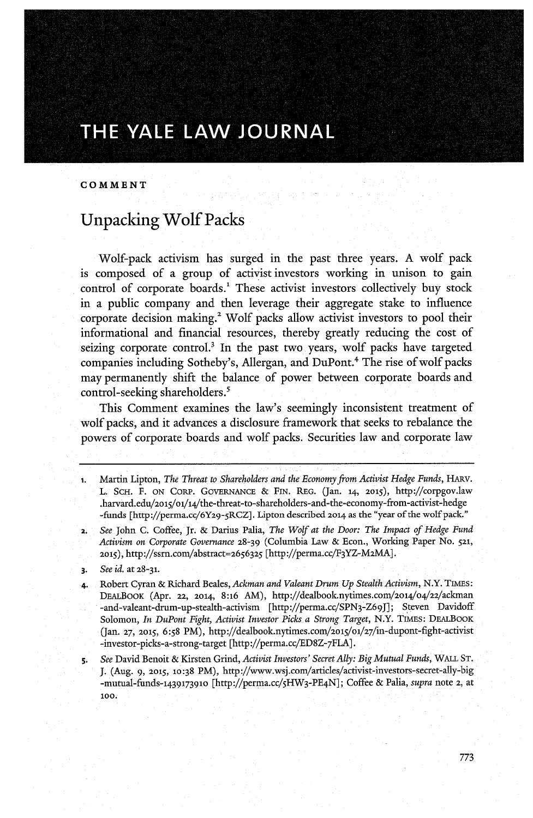## **COMMENT**

## Unpacking Wolf Packs

Wolf-pack activism has surged in the past three years. **A** wolf pack is composed of a group of activist investors working in unison to gain control of corporate boards.<sup>1</sup> These activist investors collectively buy stock in a public company and then leverage their aggregate stake to influence corporate decision making.' Wolf packs allow activist investors to pool their informational and financial resources, thereby greatly reducing the cost of seizing corporate control.<sup>3</sup> In the past two years, wolf packs have targeted companies including Sotheby's, Allergan, and DuPont.4 The rise of wolf packs may permanently shift the balance of power between corporate boards and control-seeking shareholders.'

This Comment examines the law's seemingly inconsistent treatment of wolf packs, and it advances a disclosure framework that seeks to rebalance the powers of corporate boards and wolf packs. Securities law and corporate law

- **i.** Martin Lipton, *The Threat to Shareholders and the Economy from Activist Hedge Funds,* HARv. L. **SCH.** F. **ON** CORP. GovERNANcE **& FIN.** REG. (Jan. **14, 2015),** http://corpgov.law .harvard.edu/201s/ol/14/the-threat-to-shareholders-and-the-economy-from-activist-hedge -funds [http://perma.cc/6Y29-5RCZ]. Lipton described **2014** as the "year of the wolf pack."
- 2. *See* John **C.** Coffee, Jr. **&** Darius Palia, *The Wolf at the Door: The Impact of Hedge Fund Activism on Corporate Governance* **28-39** (Columbia Law **&** Econ., Working Paper No. **521, 2015),** http://ssrn.com/abstract=2656325 [http://perma.cc/F3YZ-M2MA].
- **3.** *See id.* at **28-31.**
- 4. Robert Cyran **&** Richard Beales, *Ackman and Valeant Drum Up Stealth Activism,* N.Y. TIMES: DEALBOOK (Apr. **22, 2014, 8:16** AM), http://dealbook.nytimes.com/2o14/o4/22/aclman -and-valeant-drum-up-stealth-activism [http://perma.cc/SPN3-Z69J]; Steven Davidoff Solomon, *In DuPont Fight, Activist Investor Picks a Strong Target,* N.Y. TIMES: DEALBOOK (Jan. **27, 2015, 6:58** PM), http://dealbook.nytimes.com/2ol5/ol/27/in-dupont-fight-activist -investor-picks-a-strong-target [http://perma.cc/ED8Z-7FLA].
- 5. *See* David Benoit **&** Kirsten Grind, *Activist Investors' Secret Ally: Big Mutual Funds,* **WALL ST. J. (Aug. 9, 2015, 10:38** PM), http://www.wsj.com/articles/activist-investors-secret-ally-big -mutual-funds-1439173910 [http://perma.cc/5HW3-PE4N]; Coffee **&** Palia, *supra* note **2,** at **100.**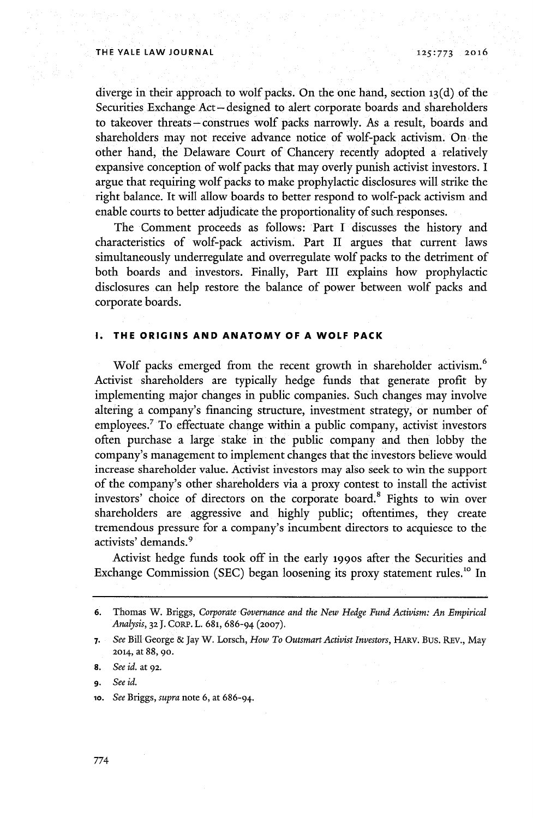diverge in their approach to wolf packs. On the one hand, section **13(d)** of the Securities Exchange Act-designed to alert corporate boards and shareholders to takeover threats-construes wolf packs narrowly. As a result, boards and shareholders may not receive advance notice of wolf-pack activism. On the other hand, the Delaware Court of Chancery recently adopted a relatively expansive conception of wolf packs that may overly punish activist investors. **I** argue that requiring wolf packs to make prophylactic disclosures will strike the right balance. It will allow boards to better respond to wolf-pack activism and enable courts to better adjudicate the proportionality of such responses.

The Comment proceeds as follows: Part I discusses the history and characteristics of wolf-pack activism. Part II argues that current laws simultaneously underregulate and overregulate wolf packs to the detriment of both boards and investors. Finally, Part III explains how prophylactic disclosures can help restore the balance of power between wolf packs and corporate boards.

## **1. THE ORIGINS AND ANATOMY OF A WOLF PACK**

Wolf packs emerged from the recent growth in shareholder activism. Activist shareholders are typically hedge funds that generate profit **by** implementing major changes in public companies. Such changes may involve altering a company's financing structure, investment strategy, or number of employees.<sup>7</sup> To effectuate change within a public company, activist investors often purchase a large stake in the public company and then lobby the company's management to implement changes that the investors believe would increase shareholder value. Activist investors may also seek to win the support of the company's other shareholders via a proxy contest to install the activist investors' choice of directors on the corporate board.<sup>8</sup> Fights to win over shareholders are aggressive and **highly** public; oftentimes, they create tremendous pressure for a company's incumbent directors to acquiesce to the activists' demands.<sup>9</sup>

Activist hedge funds took off in the early **1990s** after the Securities and Exchange Commission (SEC) began loosening its proxy statement rules.<sup>10</sup> In

**<sup>6.</sup>** Thomas W. Briggs, *Corporate Governance and the New Hedge Fund Activism: An Empirical Analysis,* **32 J.** CORP. L. 681, **686-94 (2007).**

**<sup>7.</sup>** *See* Bill George **&** Jay W. Lorsch, *How To Outsmart Activist Investors,* **HARV.** Bus. REv., May **2014,** at **88,** go.

**<sup>8.</sup>** *See id.* at **92.**

**<sup>9.</sup>** *See id.*

**<sup>1</sup>o.** *See Briggs, supra* note **6,** at **686-94.**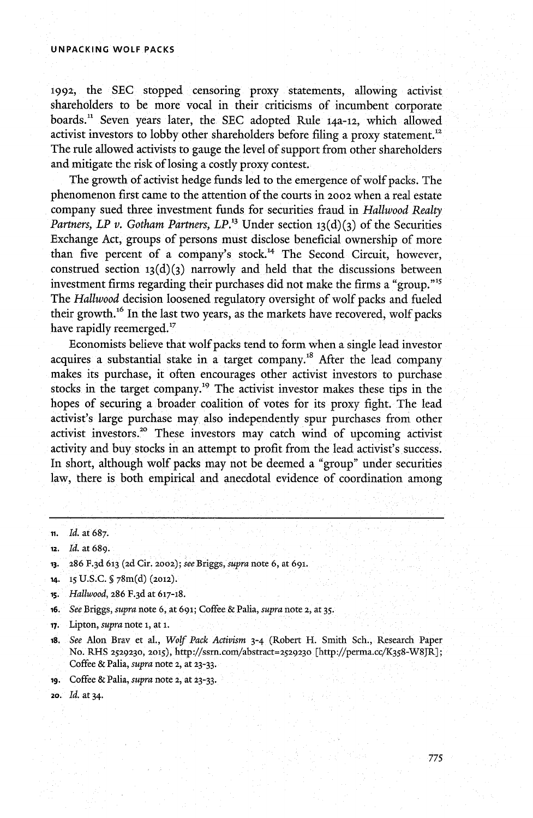#### **UNPACKING WOLF PACKS**

**1992,** the **SEC** stopped censoring proxy statements, allowing activist shareholders to be more vocal in their criticisms of incumbent corporate boards." Seven years later, the **SEC** adopted Rule **14a-12,** which allowed activist investors to lobby other shareholders before filing a proxy statement." The rule allowed activists to gauge the level of support from other shareholders and mitigate the risk of losing a costly proxy contest.

The growth of activist hedge funds led to the emergence of wolf packs. The phenomenon first came to the attention of the courts in **2002** when a real estate company sued three investment funds for securities fraud in *Hallwood Realty Partners, LP v. Gotham Partners, LP.*<sup>13</sup> Under section **1**3(d)(3) of the Securities Exchange Act, groups of persons must disclose beneficial ownership of more than five percent of a company's stock.<sup>14</sup> The Second Circuit, however, construed section  $13(d)(3)$  narrowly and held that the discussions between investment firms regarding their purchases did not make the firms a "group."" *The Hallwood* decision loosened regulatory oversight of wolf packs and fueled their growth.<sup>16</sup> In the last two years, as the markets have recovered, wolf packs have rapidly reemerged.<sup>17</sup>

Economists believe that wolf packs tend to form when a single lead investor acquires a substantial stake in a target company.<sup>18</sup> After the lead company makes its purchase, it often encourages other activist investors to purchase stocks in the target company.'9 The activist investor makes these tips in the hopes of securing a broader coalition of votes for its proxy fight. The lead activist's large purchase may also independently spur purchases from other activist investors.<sup>20</sup> These investors may catch wind of upcoming activist activity and buy stocks in an attempt to profit from the lead activist's success. In short, although wolf packs may not be deemed a "group" under securities law, there is both empirical and anecdotal evidence of coordination among

- 12. *Id.* at **689.**
- **13. 286 F.3d 613 (2d** Cir. **2002);** *see Briggs, supra* note **6,** at **691.**
- 14. **15 U.S.C. §** 78m(d) (2012).
- **15.** *Hallwood,* **286 F.3d** at 617-18.
- **16.** *See Briggs, supra* note **6,** at **691;** Coffee **&** Palia, *supra* note **2,** at *35.*

**17.** Lipton, *supra* note **i,** at **i.**

- **18,** *See* Alon Bray et al., *Wolf Pack Activism* 3-4 (Robert H. Smith Sch., Research Paper No. RHS **2529230, 2015),** http://ssrn.com/abstract=2529230 [http://perma.cc/K358-W8JR]; Coffee **&** Palia, *supra* note 2, at **23-33.**
- **ig.** Coffee **&** Palia, *supra* note 2, at **23-33.**
- **2o. Id.** at 34.

**ii.** *Id.* at **687.**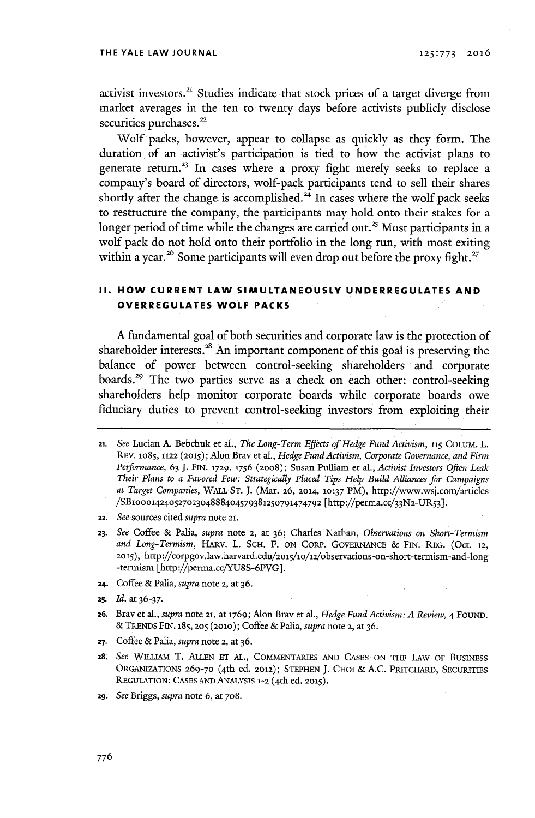activist investors.<sup>21</sup> Studies indicate that stock prices of a target diverge from market averages in the ten to twenty days before activists publicly disclose securities purchases.<sup>22</sup>

Wolf packs, however, appear to collapse as quickly as they form. The duration of an activist's participation is tied to how the activist plans to generate return.<sup>23</sup> In cases where a proxy fight merely seeks to replace a company's board of directors, wolf-pack participants tend to sell their shares shortly after the change is accomplished. $^{24}$  In cases where the wolf pack seeks to restructure the company, the participants may hold onto their stakes for a longer period of time while the changes are carried out. $^{\mathit{25}}$  Most participants in a wolf pack do not hold onto their portfolio in the long run, with most exiting within a year.<sup>26</sup> Some participants will even drop out before the proxy fight.<sup>27</sup>

## **II. HOW CURRENT LAW SIMULTANEOUSLY UNDERREGULATES AND OVERREGULATES WOLF PACKS**

**A** fundamental goal of both securities and corporate law is the protection of shareholder **interests. <sup>8</sup>**An important component of this goal is preserving the balance of power between control-seeking shareholders and corporate boards.<sup>29</sup> The two parties serve as a check on each other: control-seeking shareholders help monitor corporate boards while corporate boards owe fiduciary duties to prevent control-seeking investors from exploiting their

- **22.** *See* sources cited *supra* note **21.**
- **23.** *See* Coffee **&** Palia, *supra* **note** 2, at **36;** Charles Nathan, *Observations on Short-Termism and Long-Termism,* HARV. L. **SCH.** F. **ON CORP. GOVERNANCE** *&* FIN. REG. (Oct. **12, 2015), http://corpgov.law.harvard.edu/2o5/lo/12/observations-on-short-termism-and-long** -termism [http://perma.cc/YU8S-6PVG].
- **24.** Coffee *&* Palia, *supra* note **2,** at **36.**
- **25.** *Id.* at **36-37.**
- **26.** BraV et al., *supra* note **21,** at **1769;** Alon Bray et al., *Hedge Fund Activism: A Review, 4* FOUND. **&** TRENDS FIN. **185,** 205 **(2010);** Coffee *&* Palia, *supra* note **2,** at **36.**
- **27.** Coffee **&** Palia, *supra* note **2,** at **36.**
- **28.** *See* WILLIAM T. **ALLEN ET AL.,** COMMENTARIES **AND CASES ON** THE LAw OF BUSINESS **ORGANIZATIONS 269-70** (<sup>4</sup> th ed. 2012); **STEPHEN J.** CHOI **& A.C.** PRrCHARD, **SECURITIES REGULATION:** CASES **AND** ANALYSIS **1-2** (<sup>4</sup> th ed. **2015).**
- **29.** *See Briggs, supra* note **6,** at **708.**

**<sup>21.</sup>** *See* Lucian **A.** Bebchuk et al., *The Long-Term Effects of Hedge Fund Activism, 115* **COLUM. L. REV. 1085, 1122 (2015);** Alon Bray et al., *Hedge Fund Activism, Corporate Governance, and Firm Performance,* **63 J. FIN. 1729, 1756 (2008);** Susan Pulliam *et* al., *Activist Investors Often Leak Their Plans to a Favored Few: Strategically Placed Tips Help Build Alliances for Campaigns at Target Companies,* WALL **ST. J.** (Mar. **26, 2014, 10:37** PM), http://www.wsj.com/articles /SB10001424052702304888404579381250791474792 [http://perma.cc/33N2-UR53]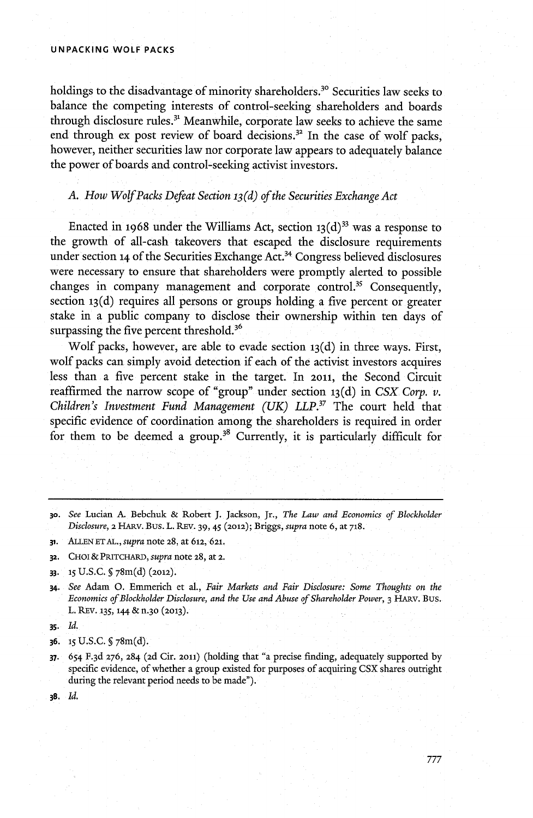#### **UNPACKING WOLF PACKS**

holdings to the disadvantage of minority shareholders.<sup>30</sup> Securities law seeks to balance the competing interests of control-seeking shareholders and boards through disclosure rules.<sup>31</sup> Meanwhile, corporate law seeks to achieve the same end through ex post review of board decisions.<sup>32</sup> In the case of wolf packs, however, neither securities law nor corporate law appears to adequately balance the power of boards and control-seeking activist investors.

*A. How WolfPacks Defeat Section <sup>1</sup><sup>3</sup> (d) of the Securities Exchange Act*

Enacted in 1968 under the Williams Act, section  $13\frac{d}{3}$  was a response to the growth of all-cash takeovers that escaped the disclosure requirements under section 14 of the Securities Exchange Act.<sup>34</sup> Congress believed disclosures were necessary to ensure that shareholders were promptly alerted to possible changes in company management and corporate control.<sup>35</sup> Consequently, section **13(d)** requires all persons or groups holding a five percent or greater stake in a public company to disclose their ownership within ten days of surpassing the five percent threshold.<sup>36</sup>

Wolf packs, however, are able to evade section **<sup>1</sup> <sup>3</sup>(d)** in three ways. First, wolf packs can simply avoid detection if each of the activist investors acquires less than a five percent stake in the target. In **2011,** the Second Circuit reaffirmed the narrow scope of "group" under section **<sup>1</sup> <sup>3</sup>(d)** in *CSX Corp. v. Children's Investment Fund Management (UK) LLP."* The court held that specific evidence of coordination among the shareholders is required in order for them to be deemed a group.<sup>38</sup> Currently, it is particularly difficult for

**31. ALLEN ET AL.,** *supra* note **28,** at **612, 621.**

**32. CHOI & PRITCHARD,** *supra* note **28, at 2.**

- **33. 15 U.S.C. §** 78m(d) **(2012).**
- **34.** *See* Adam **0.** Emmerich et al., *Fair Markets and Fair Disclosure: Some Thoughts on the Economics of Blockholder Disclosure, and the Use and Abuse of Shareholder Power, 3 HARV. Bus.* L. REv. **135, 144** *&* **n-30 (2013).**
- *3s. Id.*

- **37.** 654 **F. <sup>3</sup>d 276,** 284 **(2d** Cir. **2011)** (holding that "a precise finding, adequately supported **by** specific evidence, of whether a group existed for purposes of acquiring **CSX** shares outright during the relevant period needs to be made").
- **38.** *Id.*

**<sup>30.</sup>** *See* Lucian **A.** Bebchuk **&** Robert **J. Jackson, Jr.,** *The Law and Economics of Blockholder Disclosure,* **2** HARV. Bus. **L. REV. 39,** *45* **(2012);** Briggs, *supra* note **6,** at **718.**

**<sup>36.</sup> 15** U.S.C. **§** 78m(d).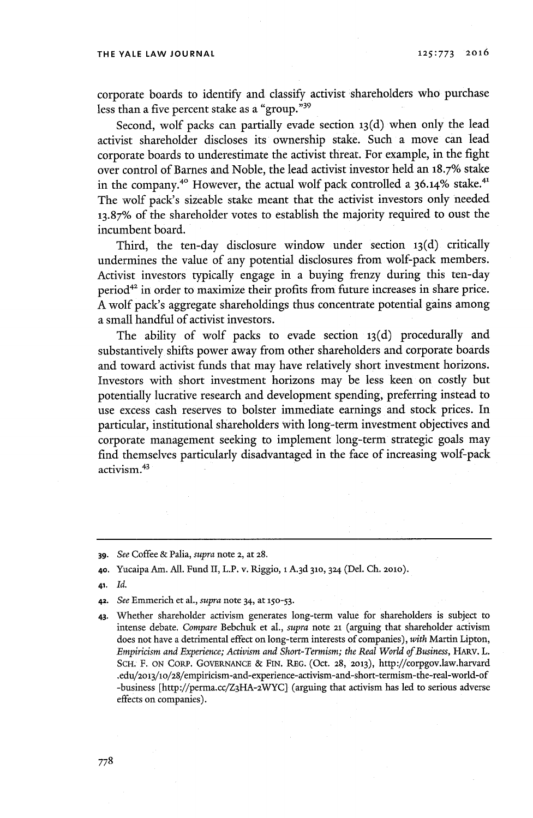corporate boards to identify and classify activist shareholders who purchase less than a five percent stake as a "group."<sup>39</sup>

Second, wolf packs can partially evade section **<sup>1</sup> <sup>3</sup> (d)** when only the lead activist shareholder discloses its ownership stake. Such a move can lead corporate boards to underestimate the activist threat. For example, in the fight over control of Barnes and Noble, the lead activist investor held an **18.7%** stake in the company.<sup>40</sup> However, the actual wolf pack controlled a 36.14% stake.<sup>4</sup> The wolf pack's sizeable stake meant that the activist investors only needed **13.87%** of the shareholder votes to establish the majority required to oust the incumbent board.

Third, the ten-day disclosure window under section **1<sup>3</sup> (d)** critically undermines the value of any potential disclosures from wolf-pack members. Activist investors typically engage in a buying frenzy during this ten-day period<sup>42</sup> in order to maximize their profits from future increases in share price. **A** wolf pack's aggregate shareholdings thus concentrate potential gains among a small handful of activist investors.

The ability of wolf packs to evade section **<sup>1</sup> <sup>3</sup>(d)** procedurally and substantively shifts power away from other shareholders and corporate boards and toward activist funds that may have relatively short investment horizons. Investors with short investment horizons may be less keen on costly but potentially lucrative research and development spending, preferring instead to use excess cash reserves to bolster immediate earnings and stock prices. In particular, institutional shareholders with long-term investment objectives and corporate management seeking to implement long-term strategic goals may find themselves particularly disadvantaged in the face of increasing wolf-pack activism.<sup>43</sup>

- **41.** *Id.*
- **42.** *See* Emmerich et al., *supra* note 34, at **150-53.**
- 43. Whether shareholder activism generates long-term value for shareholders is subject to intense debate. *Compare* Bebchuk et al., *supra* note **21** (arguing that shareholder activism does not have a detrimental effect on long-term interests of companies), *with* Martin Lipton, *Empiricism and Experience; Activism and Short-Termism; the Real World of Business, HARV. L.* **SCH.** F. **ON** CORP. **GOVERNANCE & FIN. REG.** (Oct. **28, 2013),** http://corpgov.law.harvard .edu/2o13/1o/28/empiricism-and-experience-activism-and-short-termism-the-real-world-of -business [http://perma.cc/Z3HA-2WYC] (arguing that activism has led to serious adverse effects on companies).

**<sup>39.</sup>** *See* Coffee **&** Palia, *supra* note **2,** at **28.**

**<sup>40.</sup>** Yucaipa Am. **All.** Fund II, L.P. v. Riggio, **1 A.3d 310, 324** (Del. **Ch. 2010).**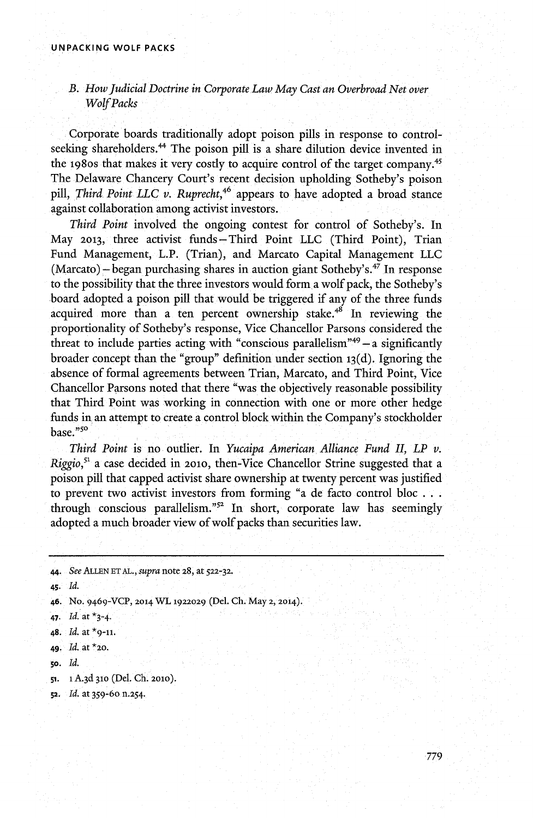## *B. How Judicial Doctrine in Corporate Law May Cast an Overbroad Net over WolfPacks*

Corporate boards traditionally adopt poison pills in response to controlseeking shareholders.<sup>44</sup> The poison pill is a share dilution device invented in the 1980s that makes it very costly to acquire control of the target company.<sup>45</sup> The Delaware Chancery Court's recent decision upholding Sotheby's poison pill, *Third Point LLC v. Ruprecht,46* appears to have adopted a broad stance against collaboration among activist investors.

*Third Point* involved the ongoing contest for control of Sotheby's. In May **2013,** three activist funds - Third Point **LLC** (Third Point), Trian Fund Management, L.P. (Trian), and Marcato Capital Management **LLC**  $(Marcato) - began purchasing shares in auction giant Sotheby's.<sup>47</sup> In response$ to the possibility that the three investors would form a wolf pack, the Sotheby's board adopted a poison pill that would be triggered if any of the three funds acquired more than a ten percent ownership stake.<sup> $48$ </sup> In reviewing the proportionality of Sotheby's response, Vice Chancellor Parsons considered the threat to include parties acting with "conscious parallelism"<sup>49</sup>**-a** significantly broader concept than the "group" definition under section **13(d).** Ignoring the absence of formal agreements between Trian, Marcato, and Third Point, Vice Chancellor Parsons noted that there "was the objectively reasonable possibility that Third Point was working in connection with one or more other hedge funds in an attempt to create a control block within the Company's stockholder base."so

*Third Point* is no outlier. In *Yucaipa American Alliance Fund II, LP v. Riggio*,<sup>51</sup> a case decided in 2010, then-Vice Chancellor Strine suggested that a poison pill that capped activist share ownership at twenty percent was justified to prevent two activist investors from forming "a de facto control bloc **. .** through conscious parallelism." $52$  In short, corporate law has seemingly adopted a much broader view of wolf packs than securities law.

<sup>44.</sup> *See* **ALLEN ET AL.,** *supra* note **28,** at **522-32.**

<sup>45.</sup> *Id.*

**<sup>46.</sup>** No. 9 4 6 <sup>9</sup> -VCP, **2014 WL 1922029** (Del. **Ch.** May **2, 2014).**

<sup>47.</sup> *Id.* at \*3-4

**<sup>48.</sup>** *Id.* at **\*9-11.**

**<sup>49.</sup>** *Id.* **at \*20.**

**so.** *Id.*

**<sup>51. 1</sup> A. <sup>3</sup>d 310** (Del. **Ch. 2010).**

**<sup>52.</sup>** *Id.* **at 359-60 n.254.**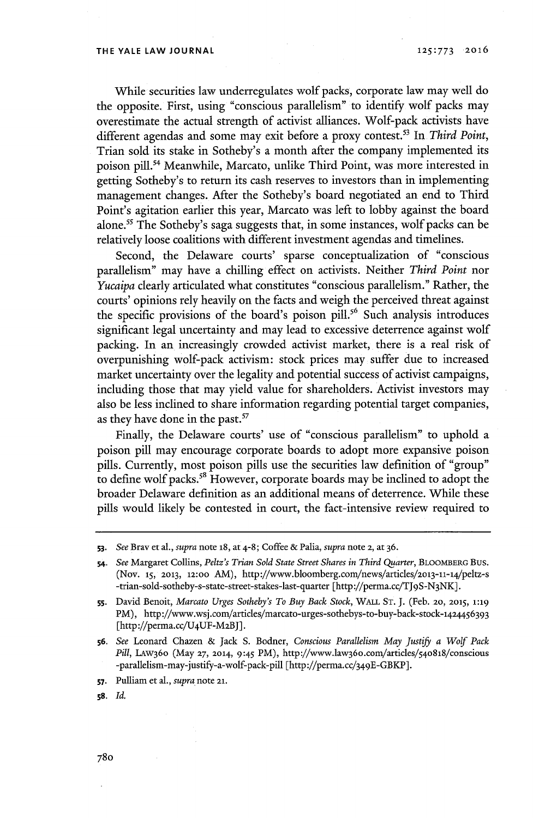While securities law underregulates wolf packs, corporate law may well do the opposite. First, using "conscious parallelism" to identify wolf packs may overestimate the actual strength of activist alliances. Wolf-pack activists have different agendas and some may exit before a proxy contest.<sup>53</sup> In *Third Point*, Trian sold its stake in Sotheby's a month after the company implemented its poison pill.<sup>54</sup> Meanwhile, Marcato, unlike Third Point, was more interested in getting Sotheby's to return its cash reserves to investors than in implementing management changes. After the Sotheby's board negotiated an end to Third Point's agitation earlier this year, Marcato was left to lobby against the board alone.<sup>55</sup> The Sotheby's saga suggests that, in some instances, wolf packs can be relatively loose coalitions with different investment agendas and timelines.

Second, the Delaware courts' sparse conceptualization of "conscious parallelism" may have a chilling effect on activists. Neither *Third Point* nor *Yucaipa* clearly articulated what constitutes "conscious parallelism." Rather, the courts' opinions rely heavily on the facts and weigh the perceived threat against the specific provisions of the board's poison pill.<sup>56</sup> Such analysis introduces significant legal uncertainty and may lead to excessive deterrence against wolf packing. In an increasingly crowded activist market, there is a real risk of overpunishing wolf-pack activism: stock prices may suffer due to increased market uncertainty over the legality and potential success of activist campaigns, including those that may yield value for shareholders. Activist investors may also be less inclined to share information regarding potential target companies, as they have done in the past.<sup>57</sup>

Finally, the Delaware courts' use of "conscious parallelism" to uphold a poison pill may encourage corporate boards to adopt more expansive poison pills. Currently, most poison pills use the securities law definition of "group" to define wolf packs.<sup>58</sup> However, corporate boards may be inclined to adopt the broader Delaware definition as an additional means of deterrence. While these pills would likely be contested in court, the fact-intensive review required to

**<sup>53.</sup>** *See* Bray et al., *supra* note **18,** at 4-8; Coffee **&** Palia, *supra* note **2,** at **36.**

**<sup>54.</sup>** *See* Margaret Collins, *Peltz's Trian Sold State Street Shares in Third Quarter,* **BLOOMBERG** Bus. (Nov. **15, 2013, 12:00** AM), http://www.bloomberg.com/news/articles/2ol3-11-14/peltz-s -trian-sold-sotheby-s-state-street-stakes-last-quarter [http://perma.cc/TJ9S-N3NK].

**sS.** David Benoit, *Marcato Urges Sotheby's To Buy Back Stock,* **WALL ST. J.** (Feb. **20, 2015, 1:19** PM), http://www.wsj.com/articles/marcato-urges-sothebys-to-buy-back-stock-1424456393 [http://perma.cc/U4UF-M2BJ].

**<sup>56.</sup>** *See* Leonard Chazen **&** Jack **S.** Bodner, *Conscious Parallelism May Justii a Wolf Pack Pill,* LAw360 (May **27, 2014,** 9:45 PM), http://www.law36o.com/articles/54o818/conscious -parallelism-may-justify-a-wolf-pack-pill [http://perma.cc/349E-GBKP].

**s7.** Pulliam et al., *supra* note **21.**

**s8.** *Id.*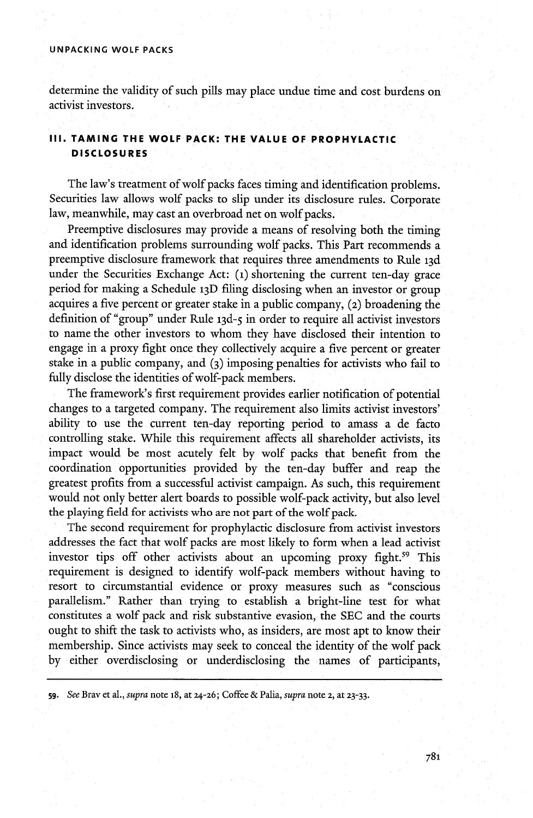## **UNPACKING WOLF PACKS**

determine the validity of such pills may place undue time and cost burdens on activist investors.

## **Ill. TAMING THE WOLF PACK: THE VALUE OF PROPHYLACTIC DISCLOSURES**

The law's treatment of wolf packs faces timing and identification problems. Securities law allows wolf packs to slip under its disclosure rules. Corporate law, meanwhile, may cast an overbroad net on wolf packs.

Preemptive disclosures may provide a means of resolving both the timing and identification problems surrounding wolf packs. This Part recommends a preemptive disclosure framework that requires three amendments to Rule **<sup>1</sup> <sup>3</sup>d** under the Securities Exchange Act: **(1)** shortening the current ten-day grace period for making a Schedule **<sup>1</sup>3D** filing disclosing when an investor or group acquires a five percent or greater stake in a public company, **(2)** broadening the definition of "group" under Rule **13d- <sup>5</sup>**in order to require all activist investors to name the other investors to whom they have disclosed their intention to engage in a proxy fight once they collectively acquire a five percent or greater stake in a public company, and **(3)** imposing penalties for activists who fail to fully disclose the identities of wolf-pack members.

The framework's first requirement provides earlier notification of potential changes to a targeted company. The requirement also limits activist investors' ability to use the current ten-day reporting period to amass a de facto controlling stake. While this requirement affects all shareholder activists, its impact would be most acutely felt **by** wolf packs that benefit from the coordination opportunities provided **by** the ten-day buffer and reap the greatest profits from a successful activist campaign. As such, this requirement would not only better alert boards to possible wolf-pack activity, but also level the playing field for activists who are not part of the wolf pack.

The second requirement for prophylactic disclosure from activist investors addresses the fact that wolf packs are most likely to form when a lead activist investor tips off other activists about an upcoming proxy fight.<sup>59</sup> This requirement is designed to identify wolf-pack members without having to resort to circumstantial evidence or proxy measures such as 'conscious parallelism." Rather than trying to establish a bright-line test for what constitutes a wolf pack and risk substantive evasion, the **SEC** and the courts ought to shift the task to activists who, as insiders, are most apt to know their membership. Since activists may seek to conceal the identity of the wolf pack **by** either overdisclosing or underdisclosing the names of participants,

**<sup>59.</sup>** *See* Bray et al., *supra* note 18, at **24-26;** Coffee **&** Palia, *supra* note **2,** at **23-33.**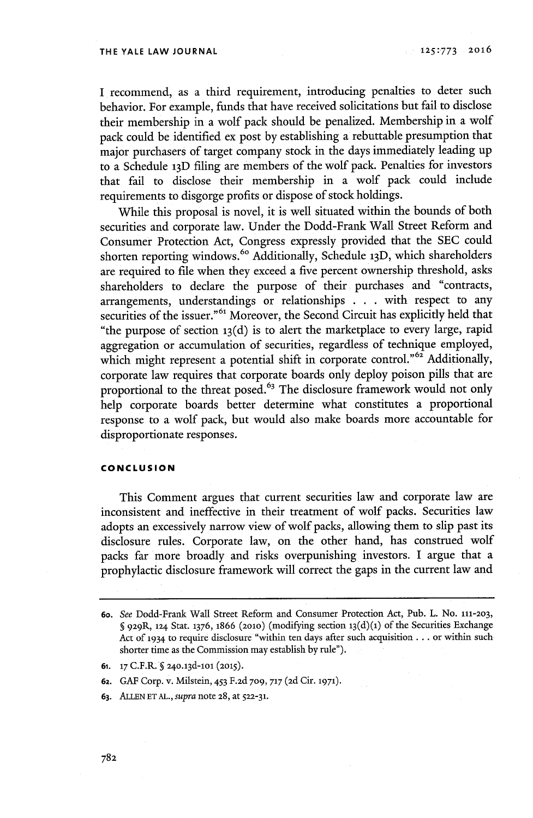**I** recommend, as a third requirement, introducing penalties to deter such behavior. For example, funds that have received solicitations but fail to disclose their membership in a wolf pack should be penalized. Membership in a wolf pack could be identified ex post **by** establishing a rebuttable presumption that major purchasers of target company stock in the days immediately leading up to a Schedule **13D** filing are members of the wolf pack. Penalties for investors that fail to disclose their membership in a wolf pack could include requirements to disgorge profits or dispose of stock holdings.

While this proposal is novel, **it** is well situated within the bounds of both securities and corporate law. Under the Dodd-Frank Wall Street Reform and Consumer Protection Act, Congress expressly provided that the **SEC** could shorten reporting windows.<sup>60</sup> Additionally, Schedule 13D, which shareholders are required to file when they exceed a five percent ownership threshold, asks shareholders to declare the purpose of their purchases and "contracts, arrangements, understandings or relationships **. . .** with respect to any securities of the issuer."<sup>61</sup> Moreover, the Second Circuit has explicitly held that "the purpose of section **<sup>1</sup> <sup>3</sup>(d)** is to alert the marketplace to every large, rapid aggregation or accumulation of securities, regardless of technique employed, which might represent a potential shift in corporate control."<sup>62</sup> Additionally corporate law requires that corporate boards only deploy poison pills that are proportional to the threat posed.<sup>63</sup> The disclosure framework would not only help corporate boards better determine what constitutes a proportional response to a wolf pack, but would also make boards more accountable for disproportionate responses.

## **CONCLUSION**

This Comment argues that current securities law and corporate law are inconsistent and ineffective in their treatment of wolf packs. Securities law adopts an excessively narrow view of wolf packs, allowing them to slip past its disclosure rules. Corporate law, on the other hand, has construed wolf packs far more broadly and risks overpunishing investors. **I** argue that a prophylactic disclosure framework will correct the gaps in the current law and

**63. ALLEN ET AL.,** *supra* note **28,** at **522-31.**

<sup>6</sup>o. *See* Dodd-Frank Wall Street Reform and Consumer Protection Act, Pub. L. No. **111-203, § 929R,** 124 *Stat.* **1376,** 1866 **(2010)** (modifying section 1<sup>3</sup> (d)(i) of the Securities Exchange Act **of 1934** to require disclosure "within ten days after such acquisition **...** or within such shorter time as the Commission may establish **by** rule").

**<sup>61.</sup> 17** C.F.R. **§ 2<sup>4</sup> o.13d-loi (2015).**

**<sup>62.</sup> GAF** Corp. v. Milstein, *453* **F.2d 709, 717 (2d** Cir. **1971).**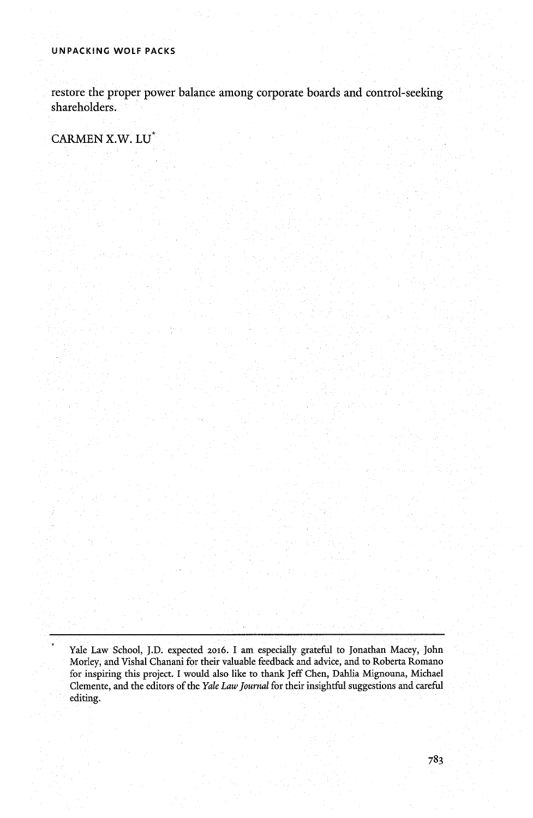restore the proper power balance among corporate boards and control-seeking shareholders.

**CARMEN** X.W. **LU**

Yale Law School, **J.D.** expected **2016.** I am especially grateful to Jonathan Macey, John Morley, and Vishal Chanani for their valuable feedback and advice, and to Roberta Romano for inspiring this project. **I** would also like to thank Jeff Chen, Dahlia Mignouna, Michael Clemente, and the editors of the *Yale Law Journal* for their insightful suggestions and careful editing.